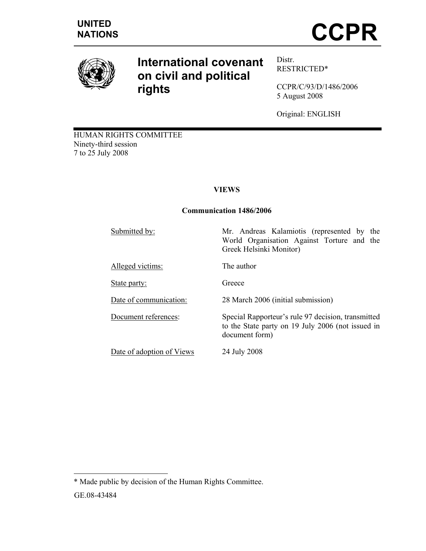

# **International covenant on civil and political rights**

Distr. RESTRICTED\*

CCPR/C/93/D/1486/2006 5 August 2008

Original: ENGLISH

HUMAN RIGHTS COMMITTEE Ninety-third session 7 to 25 July 2008

# **VIEWS**

## **Communication 1486/2006**

| Submitted by:             | Mr. Andreas Kalamiotis (represented by the<br>World Organisation Against Torture and the<br>Greek Helsinki Monitor)       |
|---------------------------|---------------------------------------------------------------------------------------------------------------------------|
| Alleged victims:          | The author                                                                                                                |
| <u>State party:</u>       | Greece                                                                                                                    |
| Date of communication:    | 28 March 2006 (initial submission)                                                                                        |
| Document references:      | Special Rapporteur's rule 97 decision, transmitted<br>to the State party on 19 July 2006 (not issued in<br>document form) |
| Date of adoption of Views | 24 July 2008                                                                                                              |

 $\overline{a}$ 

<sup>\*</sup> Made public by decision of the Human Rights Committee.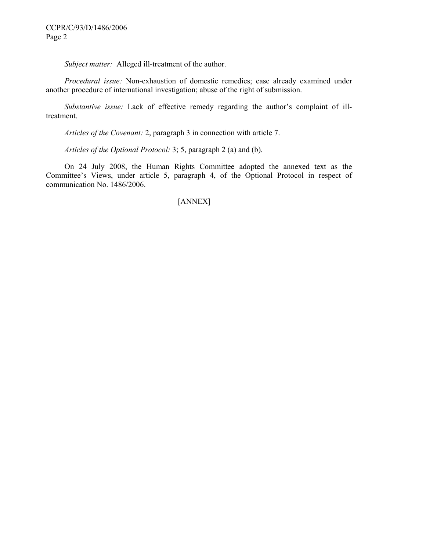*Subject matter:* Alleged ill-treatment of the author.

*Procedural issue:* Non-exhaustion of domestic remedies; case already examined under another procedure of international investigation; abuse of the right of submission.

*Substantive issue:* Lack of effective remedy regarding the author's complaint of illtreatment.

 *Articles of the Covenant:* 2, paragraph 3 in connection with article 7.

*Articles of the Optional Protocol:* 3; 5, paragraph 2 (a) and (b).

 On 24 July 2008, the Human Rights Committee adopted the annexed text as the Committee's Views, under article 5, paragraph 4, of the Optional Protocol in respect of communication No. 1486/2006.

# [ANNEX]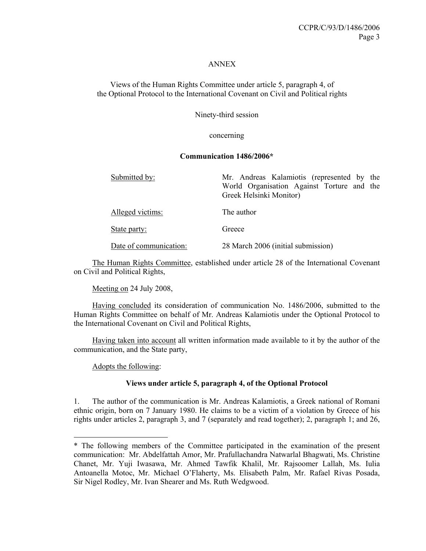#### ANNEX

Views of the Human Rights Committee under article 5, paragraph 4, of the Optional Protocol to the International Covenant on Civil and Political rights

Ninety-third session

concerning

#### **Communication 1486/2006\***

| Submitted by:          | Mr. Andreas Kalamiotis (represented by the<br>World Organisation Against Torture and the<br>Greek Helsinki Monitor) |
|------------------------|---------------------------------------------------------------------------------------------------------------------|
| Alleged victims:       | The author                                                                                                          |
| State party:           | Greece                                                                                                              |
| Date of communication: | 28 March 2006 (initial submission)                                                                                  |

 The Human Rights Committee, established under article 28 of the International Covenant on Civil and Political Rights,

Meeting on 24 July 2008,

 Having concluded its consideration of communication No. 1486/2006, submitted to the Human Rights Committee on behalf of Mr. Andreas Kalamiotis under the Optional Protocol to the International Covenant on Civil and Political Rights,

 Having taken into account all written information made available to it by the author of the communication, and the State party,

Adopts the following:

 $\overline{a}$ 

#### **Views under article 5, paragraph 4, of the Optional Protocol**

1. The author of the communication is Mr. Andreas Kalamiotis, a Greek national of Romani ethnic origin, born on 7 January 1980. He claims to be a victim of a violation by Greece of his rights under articles 2, paragraph 3, and 7 (separately and read together); 2, paragraph 1; and 26,

<sup>\*</sup> The following members of the Committee participated in the examination of the present communication: Mr. Abdelfattah Amor, Mr. Prafullachandra Natwarlal Bhagwati, Ms. Christine Chanet, Mr. Yuji Iwasawa, Mr. Ahmed Tawfik Khalil, Mr. Rajsoomer Lallah, Ms. Iulia Antoanella Motoc, Mr. Michael O'Flaherty, Ms. Elisabeth Palm, Mr. Rafael Rivas Posada, Sir Nigel Rodley, Mr. Ivan Shearer and Ms. Ruth Wedgwood.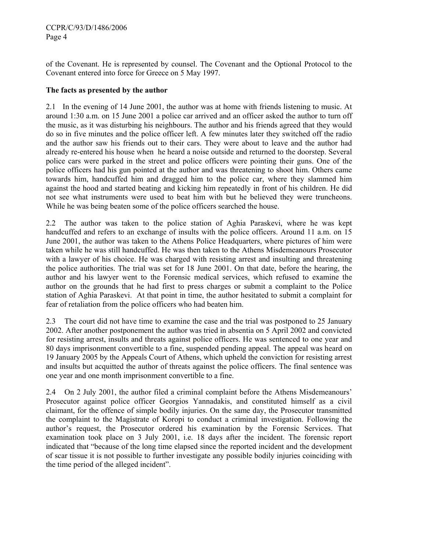of the Covenant. He is represented by counsel. The Covenant and the Optional Protocol to the Covenant entered into force for Greece on 5 May 1997.

## **The facts as presented by the author**

2.1 In the evening of 14 June 2001, the author was at home with friends listening to music. At around 1:30 a.m. on 15 June 2001 a police car arrived and an officer asked the author to turn off the music, as it was disturbing his neighbours. The author and his friends agreed that they would do so in five minutes and the police officer left. A few minutes later they switched off the radio and the author saw his friends out to their cars. They were about to leave and the author had already re-entered his house when he heard a noise outside and returned to the doorstep. Several police cars were parked in the street and police officers were pointing their guns. One of the police officers had his gun pointed at the author and was threatening to shoot him. Others came towards him, handcuffed him and dragged him to the police car, where they slammed him against the hood and started beating and kicking him repeatedly in front of his children. He did not see what instruments were used to beat him with but he believed they were truncheons. While he was being beaten some of the police officers searched the house.

2.2 The author was taken to the police station of Aghia Paraskevi, where he was kept handcuffed and refers to an exchange of insults with the police officers. Around 11 a.m. on 15 June 2001, the author was taken to the Athens Police Headquarters, where pictures of him were taken while he was still handcuffed. He was then taken to the Athens Misdemeanours Prosecutor with a lawyer of his choice. He was charged with resisting arrest and insulting and threatening the police authorities. The trial was set for 18 June 2001. On that date, before the hearing, the author and his lawyer went to the Forensic medical services, which refused to examine the author on the grounds that he had first to press charges or submit a complaint to the Police station of Aghia Paraskevi. At that point in time, the author hesitated to submit a complaint for fear of retaliation from the police officers who had beaten him.

2.3 The court did not have time to examine the case and the trial was postponed to 25 January 2002. After another postponement the author was tried in absentia on 5 April 2002 and convicted for resisting arrest, insults and threats against police officers. He was sentenced to one year and 80 days imprisonment convertible to a fine, suspended pending appeal. The appeal was heard on 19 January 2005 by the Appeals Court of Athens, which upheld the conviction for resisting arrest and insults but acquitted the author of threats against the police officers. The final sentence was one year and one month imprisonment convertible to a fine.

2.4 On 2 July 2001, the author filed a criminal complaint before the Athens Misdemeanours' Prosecutor against police officer Georgios Yannadakis, and constituted himself as a civil claimant, for the offence of simple bodily injuries. On the same day, the Prosecutor transmitted the complaint to the Magistrate of Koropi to conduct a criminal investigation. Following the author's request, the Prosecutor ordered his examination by the Forensic Services. That examination took place on 3 July 2001, i.e. 18 days after the incident. The forensic report indicated that "because of the long time elapsed since the reported incident and the development of scar tissue it is not possible to further investigate any possible bodily injuries coinciding with the time period of the alleged incident".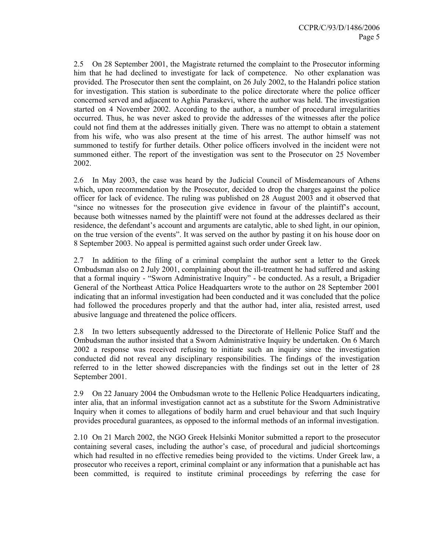2.5 On 28 September 2001, the Magistrate returned the complaint to the Prosecutor informing him that he had declined to investigate for lack of competence. No other explanation was provided. The Prosecutor then sent the complaint, on 26 July 2002, to the Halandri police station for investigation. This station is subordinate to the police directorate where the police officer concerned served and adjacent to Aghia Paraskevi, where the author was held. The investigation started on 4 November 2002. According to the author, a number of procedural irregularities occurred. Thus, he was never asked to provide the addresses of the witnesses after the police could not find them at the addresses initially given. There was no attempt to obtain a statement from his wife, who was also present at the time of his arrest. The author himself was not summoned to testify for further details. Other police officers involved in the incident were not summoned either. The report of the investigation was sent to the Prosecutor on 25 November 2002.

2.6 In May 2003, the case was heard by the Judicial Council of Misdemeanours of Athens which, upon recommendation by the Prosecutor, decided to drop the charges against the police officer for lack of evidence. The ruling was published on 28 August 2003 and it observed that "since no witnesses for the prosecution give evidence in favour of the plaintiff's account, because both witnesses named by the plaintiff were not found at the addresses declared as their residence, the defendant's account and arguments are catalytic, able to shed light, in our opinion, on the true version of the events". It was served on the author by pasting it on his house door on 8 September 2003. No appeal is permitted against such order under Greek law.

2.7 In addition to the filing of a criminal complaint the author sent a letter to the Greek Ombudsman also on 2 July 2001, complaining about the ill-treatment he had suffered and asking that a formal inquiry - "Sworn Administrative Inquiry" - be conducted. As a result, a Brigadier General of the Northeast Attica Police Headquarters wrote to the author on 28 September 2001 indicating that an informal investigation had been conducted and it was concluded that the police had followed the procedures properly and that the author had, inter alia, resisted arrest, used abusive language and threatened the police officers.

2.8 In two letters subsequently addressed to the Directorate of Hellenic Police Staff and the Ombudsman the author insisted that a Sworn Administrative Inquiry be undertaken. On 6 March 2002 a response was received refusing to initiate such an inquiry since the investigation conducted did not reveal any disciplinary responsibilities. The findings of the investigation referred to in the letter showed discrepancies with the findings set out in the letter of 28 September 2001.

2.9 On 22 January 2004 the Ombudsman wrote to the Hellenic Police Headquarters indicating, inter alia, that an informal investigation cannot act as a substitute for the Sworn Administrative Inquiry when it comes to allegations of bodily harm and cruel behaviour and that such Inquiry provides procedural guarantees, as opposed to the informal methods of an informal investigation.

2.10 On 21 March 2002, the NGO Greek Helsinki Monitor submitted a report to the prosecutor containing several cases, including the author's case, of procedural and judicial shortcomings which had resulted in no effective remedies being provided to the victims. Under Greek law, a prosecutor who receives a report, criminal complaint or any information that a punishable act has been committed, is required to institute criminal proceedings by referring the case for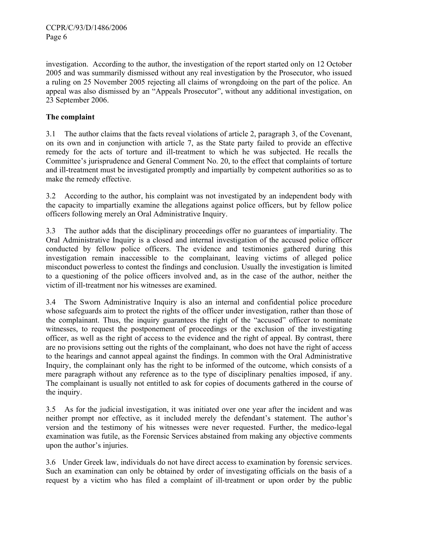investigation. According to the author, the investigation of the report started only on 12 October 2005 and was summarily dismissed without any real investigation by the Prosecutor, who issued a ruling on 25 November 2005 rejecting all claims of wrongdoing on the part of the police. An appeal was also dismissed by an "Appeals Prosecutor", without any additional investigation, on 23 September 2006.

# **The complaint**

3.1 The author claims that the facts reveal violations of article 2, paragraph 3, of the Covenant, on its own and in conjunction with article 7, as the State party failed to provide an effective remedy for the acts of torture and ill-treatment to which he was subjected. He recalls the Committee's jurisprudence and General Comment No. 20, to the effect that complaints of torture and ill-treatment must be investigated promptly and impartially by competent authorities so as to make the remedy effective.

3.2 According to the author, his complaint was not investigated by an independent body with the capacity to impartially examine the allegations against police officers, but by fellow police officers following merely an Oral Administrative Inquiry.

3.3 The author adds that the disciplinary proceedings offer no guarantees of impartiality. The Oral Administrative Inquiry is a closed and internal investigation of the accused police officer conducted by fellow police officers. The evidence and testimonies gathered during this investigation remain inaccessible to the complainant, leaving victims of alleged police misconduct powerless to contest the findings and conclusion. Usually the investigation is limited to a questioning of the police officers involved and, as in the case of the author, neither the victim of ill-treatment nor his witnesses are examined.

3.4 The Sworn Administrative Inquiry is also an internal and confidential police procedure whose safeguards aim to protect the rights of the officer under investigation, rather than those of the complainant. Thus, the inquiry guarantees the right of the "accused" officer to nominate witnesses, to request the postponement of proceedings or the exclusion of the investigating officer, as well as the right of access to the evidence and the right of appeal. By contrast, there are no provisions setting out the rights of the complainant, who does not have the right of access to the hearings and cannot appeal against the findings. In common with the Oral Administrative Inquiry, the complainant only has the right to be informed of the outcome, which consists of a mere paragraph without any reference as to the type of disciplinary penalties imposed, if any. The complainant is usually not entitled to ask for copies of documents gathered in the course of the inquiry.

3.5 As for the judicial investigation, it was initiated over one year after the incident and was neither prompt nor effective, as it included merely the defendant's statement. The author's version and the testimony of his witnesses were never requested. Further, the medico-legal examination was futile, as the Forensic Services abstained from making any objective comments upon the author's injuries.

3.6 Under Greek law, individuals do not have direct access to examination by forensic services. Such an examination can only be obtained by order of investigating officials on the basis of a request by a victim who has filed a complaint of ill-treatment or upon order by the public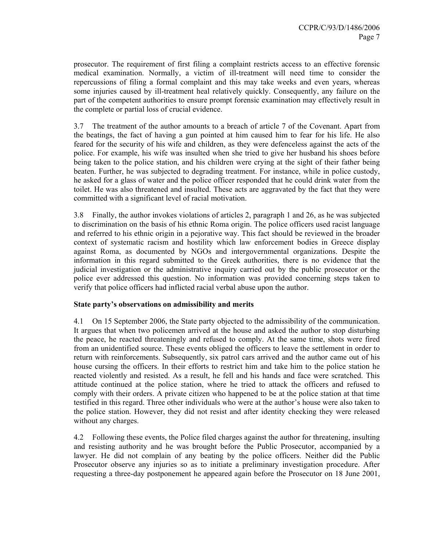prosecutor. The requirement of first filing a complaint restricts access to an effective forensic medical examination. Normally, a victim of ill-treatment will need time to consider the repercussions of filing a formal complaint and this may take weeks and even years, whereas some injuries caused by ill-treatment heal relatively quickly. Consequently, any failure on the part of the competent authorities to ensure prompt forensic examination may effectively result in the complete or partial loss of crucial evidence.

3.7 The treatment of the author amounts to a breach of article 7 of the Covenant. Apart from the beatings, the fact of having a gun pointed at him caused him to fear for his life. He also feared for the security of his wife and children, as they were defenceless against the acts of the police. For example, his wife was insulted when she tried to give her husband his shoes before being taken to the police station, and his children were crying at the sight of their father being beaten. Further, he was subjected to degrading treatment. For instance, while in police custody, he asked for a glass of water and the police officer responded that he could drink water from the toilet. He was also threatened and insulted. These acts are aggravated by the fact that they were committed with a significant level of racial motivation.

3.8 Finally, the author invokes violations of articles 2, paragraph 1 and 26, as he was subjected to discrimination on the basis of his ethnic Roma origin. The police officers used racist language and referred to his ethnic origin in a pejorative way. This fact should be reviewed in the broader context of systematic racism and hostility which law enforcement bodies in Greece display against Roma, as documented by NGOs and intergovernmental organizations. Despite the information in this regard submitted to the Greek authorities, there is no evidence that the judicial investigation or the administrative inquiry carried out by the public prosecutor or the police ever addressed this question. No information was provided concerning steps taken to verify that police officers had inflicted racial verbal abuse upon the author.

#### **State party's observations on admissibility and merits**

4.1 On 15 September 2006, the State party objected to the admissibility of the communication. It argues that when two policemen arrived at the house and asked the author to stop disturbing the peace, he reacted threateningly and refused to comply. At the same time, shots were fired from an unidentified source. These events obliged the officers to leave the settlement in order to return with reinforcements. Subsequently, six patrol cars arrived and the author came out of his house cursing the officers. In their efforts to restrict him and take him to the police station he reacted violently and resisted. As a result, he fell and his hands and face were scratched. This attitude continued at the police station, where he tried to attack the officers and refused to comply with their orders. A private citizen who happened to be at the police station at that time testified in this regard. Three other individuals who were at the author's house were also taken to the police station. However, they did not resist and after identity checking they were released without any charges.

4.2 Following these events, the Police filed charges against the author for threatening, insulting and resisting authority and he was brought before the Public Prosecutor, accompanied by a lawyer. He did not complain of any beating by the police officers. Neither did the Public Prosecutor observe any injuries so as to initiate a preliminary investigation procedure. After requesting a three-day postponement he appeared again before the Prosecutor on 18 June 2001,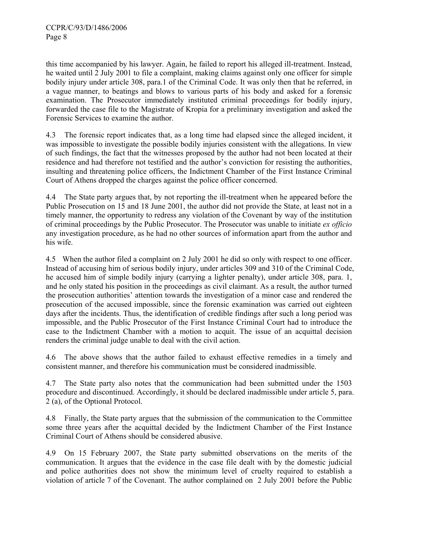this time accompanied by his lawyer. Again, he failed to report his alleged ill-treatment. Instead, he waited until 2 July 2001 to file a complaint, making claims against only one officer for simple bodily injury under article 308, para.1 of the Criminal Code. It was only then that he referred, in a vague manner, to beatings and blows to various parts of his body and asked for a forensic examination. The Prosecutor immediately instituted criminal proceedings for bodily injury, forwarded the case file to the Magistrate of Kropia for a preliminary investigation and asked the Forensic Services to examine the author.

4.3 The forensic report indicates that, as a long time had elapsed since the alleged incident, it was impossible to investigate the possible bodily injuries consistent with the allegations. In view of such findings, the fact that the witnesses proposed by the author had not been located at their residence and had therefore not testified and the author's conviction for resisting the authorities, insulting and threatening police officers, the Indictment Chamber of the First Instance Criminal Court of Athens dropped the charges against the police officer concerned.

4.4 The State party argues that, by not reporting the ill-treatment when he appeared before the Public Prosecution on 15 and 18 June 2001, the author did not provide the State, at least not in a timely manner, the opportunity to redress any violation of the Covenant by way of the institution of criminal proceedings by the Public Prosecutor. The Prosecutor was unable to initiate *ex officio* any investigation procedure, as he had no other sources of information apart from the author and his wife.

4.5 When the author filed a complaint on 2 July 2001 he did so only with respect to one officer. Instead of accusing him of serious bodily injury, under articles 309 and 310 of the Criminal Code, he accused him of simple bodily injury (carrying a lighter penalty), under article 308, para. 1, and he only stated his position in the proceedings as civil claimant. As a result, the author turned the prosecution authorities' attention towards the investigation of a minor case and rendered the prosecution of the accused impossible, since the forensic examination was carried out eighteen days after the incidents. Thus, the identification of credible findings after such a long period was impossible, and the Public Prosecutor of the First Instance Criminal Court had to introduce the case to the Indictment Chamber with a motion to acquit. The issue of an acquittal decision renders the criminal judge unable to deal with the civil action.

4.6 The above shows that the author failed to exhaust effective remedies in a timely and consistent manner, and therefore his communication must be considered inadmissible.

4.7 The State party also notes that the communication had been submitted under the 1503 procedure and discontinued. Accordingly, it should be declared inadmissible under article 5, para. 2 (a), of the Optional Protocol.

4.8 Finally, the State party argues that the submission of the communication to the Committee some three years after the acquittal decided by the Indictment Chamber of the First Instance Criminal Court of Athens should be considered abusive.

4.9 On 15 February 2007, the State party submitted observations on the merits of the communication. It argues that the evidence in the case file dealt with by the domestic judicial and police authorities does not show the minimum level of cruelty required to establish a violation of article 7 of the Covenant. The author complained on 2 July 2001 before the Public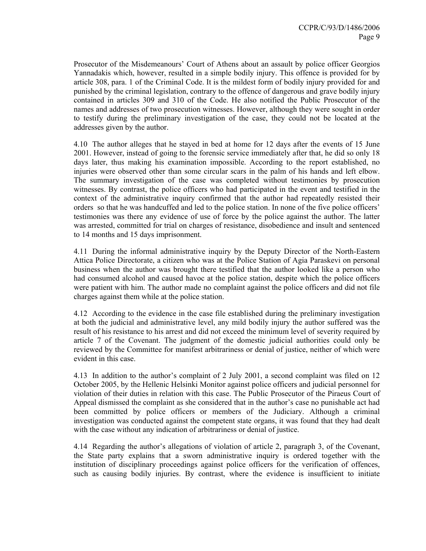Prosecutor of the Misdemeanours' Court of Athens about an assault by police officer Georgios Yannadakis which, however, resulted in a simple bodily injury. This offence is provided for by article 308, para. 1 of the Criminal Code. It is the mildest form of bodily injury provided for and punished by the criminal legislation, contrary to the offence of dangerous and grave bodily injury contained in articles 309 and 310 of the Code. He also notified the Public Prosecutor of the names and addresses of two prosecution witnesses. However, although they were sought in order to testify during the preliminary investigation of the case, they could not be located at the addresses given by the author.

4.10 The author alleges that he stayed in bed at home for 12 days after the events of 15 June 2001. However, instead of going to the forensic service immediately after that, he did so only 18 days later, thus making his examination impossible. According to the report established, no injuries were observed other than some circular scars in the palm of his hands and left elbow. The summary investigation of the case was completed without testimonies by prosecution witnesses. By contrast, the police officers who had participated in the event and testified in the context of the administrative inquiry confirmed that the author had repeatedly resisted their orders so that he was handcuffed and led to the police station. In none of the five police officers' testimonies was there any evidence of use of force by the police against the author. The latter was arrested, committed for trial on charges of resistance, disobedience and insult and sentenced to 14 months and 15 days imprisonment.

4.11 During the informal administrative inquiry by the Deputy Director of the North-Eastern Attica Police Directorate, a citizen who was at the Police Station of Agia Paraskevi on personal business when the author was brought there testified that the author looked like a person who had consumed alcohol and caused havoc at the police station, despite which the police officers were patient with him. The author made no complaint against the police officers and did not file charges against them while at the police station.

4.12 According to the evidence in the case file established during the preliminary investigation at both the judicial and administrative level, any mild bodily injury the author suffered was the result of his resistance to his arrest and did not exceed the minimum level of severity required by article 7 of the Covenant. The judgment of the domestic judicial authorities could only be reviewed by the Committee for manifest arbitrariness or denial of justice, neither of which were evident in this case.

4.13 In addition to the author's complaint of 2 July 2001, a second complaint was filed on 12 October 2005, by the Hellenic Helsinki Monitor against police officers and judicial personnel for violation of their duties in relation with this case. The Public Prosecutor of the Piraeus Court of Appeal dismissed the complaint as she considered that in the author's case no punishable act had been committed by police officers or members of the Judiciary. Although a criminal investigation was conducted against the competent state organs, it was found that they had dealt with the case without any indication of arbitrariness or denial of justice.

4.14 Regarding the author's allegations of violation of article 2, paragraph 3, of the Covenant, the State party explains that a sworn administrative inquiry is ordered together with the institution of disciplinary proceedings against police officers for the verification of offences, such as causing bodily injuries. By contrast, where the evidence is insufficient to initiate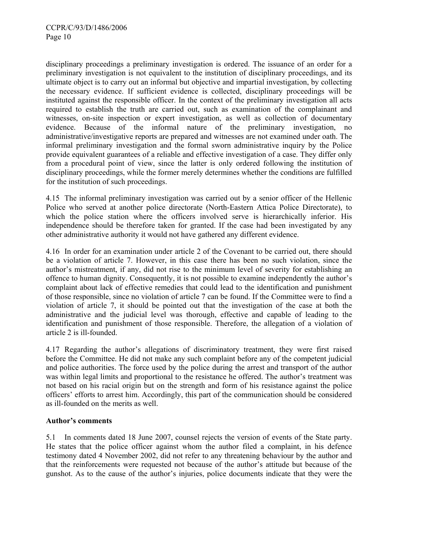disciplinary proceedings a preliminary investigation is ordered. The issuance of an order for a preliminary investigation is not equivalent to the institution of disciplinary proceedings, and its ultimate object is to carry out an informal but objective and impartial investigation, by collecting the necessary evidence. If sufficient evidence is collected, disciplinary proceedings will be instituted against the responsible officer. In the context of the preliminary investigation all acts required to establish the truth are carried out, such as examination of the complainant and witnesses, on-site inspection or expert investigation, as well as collection of documentary evidence. Because of the informal nature of the preliminary investigation, no administrative/investigative reports are prepared and witnesses are not examined under oath. The informal preliminary investigation and the formal sworn administrative inquiry by the Police provide equivalent guarantees of a reliable and effective investigation of a case. They differ only from a procedural point of view, since the latter is only ordered following the institution of disciplinary proceedings, while the former merely determines whether the conditions are fulfilled for the institution of such proceedings.

4.15 The informal preliminary investigation was carried out by a senior officer of the Hellenic Police who served at another police directorate (North-Eastern Attica Police Directorate), to which the police station where the officers involved serve is hierarchically inferior. His independence should be therefore taken for granted. If the case had been investigated by any other administrative authority it would not have gathered any different evidence.

4.16 In order for an examination under article 2 of the Covenant to be carried out, there should be a violation of article 7. However, in this case there has been no such violation, since the author's mistreatment, if any, did not rise to the minimum level of severity for establishing an offence to human dignity. Consequently, it is not possible to examine independently the author's complaint about lack of effective remedies that could lead to the identification and punishment of those responsible, since no violation of article 7 can be found. If the Committee were to find a violation of article 7, it should be pointed out that the investigation of the case at both the administrative and the judicial level was thorough, effective and capable of leading to the identification and punishment of those responsible. Therefore, the allegation of a violation of article 2 is ill-founded.

4.17 Regarding the author's allegations of discriminatory treatment, they were first raised before the Committee. He did not make any such complaint before any of the competent judicial and police authorities. The force used by the police during the arrest and transport of the author was within legal limits and proportional to the resistance he offered. The author's treatment was not based on his racial origin but on the strength and form of his resistance against the police officers' efforts to arrest him. Accordingly, this part of the communication should be considered as ill-founded on the merits as well.

#### **Author's comments**

5.1 In comments dated 18 June 2007, counsel rejects the version of events of the State party. He states that the police officer against whom the author filed a complaint, in his defence testimony dated 4 November 2002, did not refer to any threatening behaviour by the author and that the reinforcements were requested not because of the author's attitude but because of the gunshot. As to the cause of the author's injuries, police documents indicate that they were the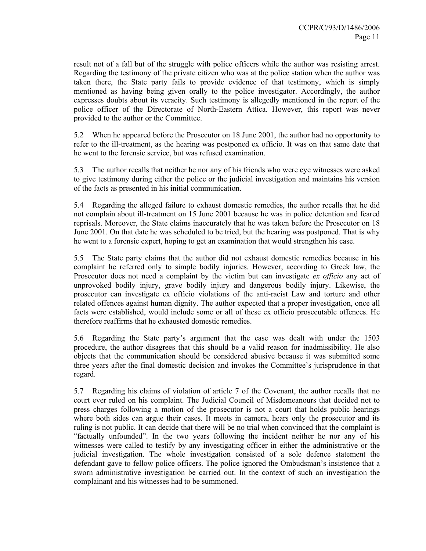result not of a fall but of the struggle with police officers while the author was resisting arrest. Regarding the testimony of the private citizen who was at the police station when the author was taken there, the State party fails to provide evidence of that testimony, which is simply mentioned as having being given orally to the police investigator. Accordingly, the author expresses doubts about its veracity. Such testimony is allegedly mentioned in the report of the police officer of the Directorate of North-Eastern Attica. However, this report was never provided to the author or the Committee.

5.2 When he appeared before the Prosecutor on 18 June 2001, the author had no opportunity to refer to the ill-treatment, as the hearing was postponed ex officio. It was on that same date that he went to the forensic service, but was refused examination.

5.3 The author recalls that neither he nor any of his friends who were eye witnesses were asked to give testimony during either the police or the judicial investigation and maintains his version of the facts as presented in his initial communication.

5.4 Regarding the alleged failure to exhaust domestic remedies, the author recalls that he did not complain about ill-treatment on 15 June 2001 because he was in police detention and feared reprisals. Moreover, the State claims inaccurately that he was taken before the Prosecutor on 18 June 2001. On that date he was scheduled to be tried, but the hearing was postponed. That is why he went to a forensic expert, hoping to get an examination that would strengthen his case.

5.5 The State party claims that the author did not exhaust domestic remedies because in his complaint he referred only to simple bodily injuries. However, according to Greek law, the Prosecutor does not need a complaint by the victim but can investigate *ex officio* any act of unprovoked bodily injury, grave bodily injury and dangerous bodily injury. Likewise, the prosecutor can investigate ex officio violations of the anti-racist Law and torture and other related offences against human dignity. The author expected that a proper investigation, once all facts were established, would include some or all of these ex officio prosecutable offences. He therefore reaffirms that he exhausted domestic remedies.

5.6 Regarding the State party's argument that the case was dealt with under the 1503 procedure, the author disagrees that this should be a valid reason for inadmissibility. He also objects that the communication should be considered abusive because it was submitted some three years after the final domestic decision and invokes the Committee's jurisprudence in that regard.

5.7 Regarding his claims of violation of article 7 of the Covenant, the author recalls that no court ever ruled on his complaint. The Judicial Council of Misdemeanours that decided not to press charges following a motion of the prosecutor is not a court that holds public hearings where both sides can argue their cases. It meets in camera, hears only the prosecutor and its ruling is not public. It can decide that there will be no trial when convinced that the complaint is "factually unfounded". In the two years following the incident neither he nor any of his witnesses were called to testify by any investigating officer in either the administrative or the judicial investigation. The whole investigation consisted of a sole defence statement the defendant gave to fellow police officers. The police ignored the Ombudsman's insistence that a sworn administrative investigation be carried out. In the context of such an investigation the complainant and his witnesses had to be summoned.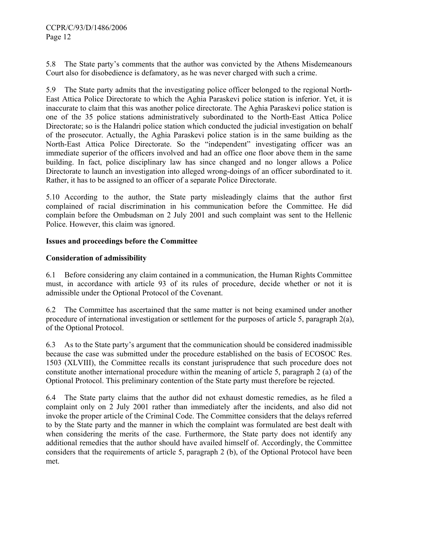5.8 The State party's comments that the author was convicted by the Athens Misdemeanours Court also for disobedience is defamatory, as he was never charged with such a crime.

5.9 The State party admits that the investigating police officer belonged to the regional North-East Attica Police Directorate to which the Aghia Paraskevi police station is inferior. Yet, it is inaccurate to claim that this was another police directorate. The Aghia Paraskevi police station is one of the 35 police stations administratively subordinated to the North-East Attica Police Directorate; so is the Halandri police station which conducted the judicial investigation on behalf of the prosecutor. Actually, the Aghia Paraskevi police station is in the same building as the North-East Attica Police Directorate. So the "independent" investigating officer was an immediate superior of the officers involved and had an office one floor above them in the same building. In fact, police disciplinary law has since changed and no longer allows a Police Directorate to launch an investigation into alleged wrong-doings of an officer subordinated to it. Rather, it has to be assigned to an officer of a separate Police Directorate.

5.10 According to the author, the State party misleadingly claims that the author first complained of racial discrimination in his communication before the Committee. He did complain before the Ombudsman on 2 July 2001 and such complaint was sent to the Hellenic Police. However, this claim was ignored.

## **Issues and proceedings before the Committee**

## **Consideration of admissibility**

6.1 Before considering any claim contained in a communication, the Human Rights Committee must, in accordance with article 93 of its rules of procedure, decide whether or not it is admissible under the Optional Protocol of the Covenant.

6.2 The Committee has ascertained that the same matter is not being examined under another procedure of international investigation or settlement for the purposes of article 5, paragraph  $2(a)$ , of the Optional Protocol.

6.3 As to the State party's argument that the communication should be considered inadmissible because the case was submitted under the procedure established on the basis of ECOSOC Res. 1503 (XLVIII), the Committee recalls its constant jurisprudence that such procedure does not constitute another international procedure within the meaning of article 5, paragraph 2 (a) of the Optional Protocol. This preliminary contention of the State party must therefore be rejected.

6.4 The State party claims that the author did not exhaust domestic remedies, as he filed a complaint only on 2 July 2001 rather than immediately after the incidents, and also did not invoke the proper article of the Criminal Code. The Committee considers that the delays referred to by the State party and the manner in which the complaint was formulated are best dealt with when considering the merits of the case. Furthermore, the State party does not identify any additional remedies that the author should have availed himself of. Accordingly, the Committee considers that the requirements of article 5, paragraph 2 (b), of the Optional Protocol have been met.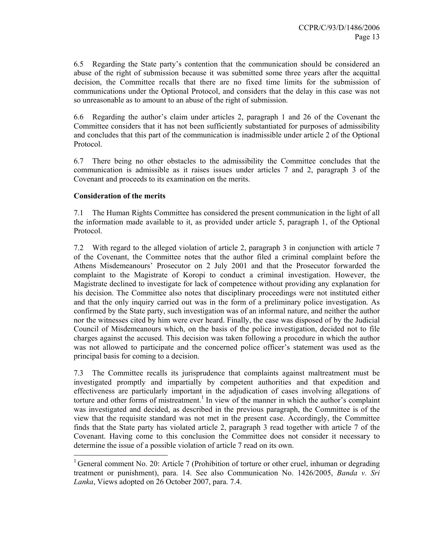6.5 Regarding the State party's contention that the communication should be considered an abuse of the right of submission because it was submitted some three years after the acquittal decision, the Committee recalls that there are no fixed time limits for the submission of communications under the Optional Protocol, and considers that the delay in this case was not so unreasonable as to amount to an abuse of the right of submission.

6.6 Regarding the author's claim under articles 2, paragraph 1 and 26 of the Covenant the Committee considers that it has not been sufficiently substantiated for purposes of admissibility and concludes that this part of the communication is inadmissible under article 2 of the Optional Protocol.

6.7 There being no other obstacles to the admissibility the Committee concludes that the communication is admissible as it raises issues under articles 7 and 2, paragraph 3 of the Covenant and proceeds to its examination on the merits.

## **Consideration of the merits**

 $\overline{a}$ 

7.1 The Human Rights Committee has considered the present communication in the light of all the information made available to it, as provided under article 5, paragraph 1, of the Optional Protocol.

7.2 With regard to the alleged violation of article 2, paragraph 3 in conjunction with article 7 of the Covenant, the Committee notes that the author filed a criminal complaint before the Athens Misdemeanours' Prosecutor on 2 July 2001 and that the Prosecutor forwarded the complaint to the Magistrate of Koropi to conduct a criminal investigation. However, the Magistrate declined to investigate for lack of competence without providing any explanation for his decision. The Committee also notes that disciplinary proceedings were not instituted either and that the only inquiry carried out was in the form of a preliminary police investigation. As confirmed by the State party, such investigation was of an informal nature, and neither the author nor the witnesses cited by him were ever heard. Finally, the case was disposed of by the Judicial Council of Misdemeanours which, on the basis of the police investigation, decided not to file charges against the accused. This decision was taken following a procedure in which the author was not allowed to participate and the concerned police officer's statement was used as the principal basis for coming to a decision.

7.3 The Committee recalls its jurisprudence that complaints against maltreatment must be investigated promptly and impartially by competent authorities and that expedition and effectiveness are particularly important in the adjudication of cases involving allegations of torture and other forms of mistreatment.<sup>1</sup> In view of the manner in which the author's complaint was investigated and decided, as described in the previous paragraph, the Committee is of the view that the requisite standard was not met in the present case. Accordingly, the Committee finds that the State party has violated article 2, paragraph 3 read together with article 7 of the Covenant. Having come to this conclusion the Committee does not consider it necessary to determine the issue of a possible violation of article 7 read on its own.

<sup>&</sup>lt;sup>1</sup> General comment No. 20: Article 7 (Prohibition of torture or other cruel, inhuman or degrading treatment or punishment), para. 14. See also Communication No. 1426/2005, *Banda v. Sri Lanka*, Views adopted on 26 October 2007, para. 7.4.